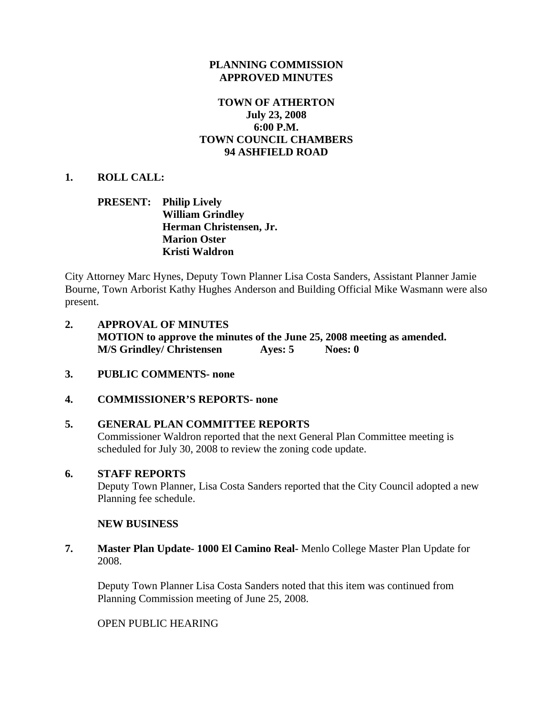### **PLANNING COMMISSION APPROVED MINUTES**

## **TOWN OF ATHERTON July 23, 2008 6:00 P.M. TOWN COUNCIL CHAMBERS 94 ASHFIELD ROAD**

### **1. ROLL CALL:**

### **PRESENT: Philip Lively William Grindley Herman Christensen, Jr. Marion Oster Kristi Waldron**

City Attorney Marc Hynes, Deputy Town Planner Lisa Costa Sanders, Assistant Planner Jamie Bourne, Town Arborist Kathy Hughes Anderson and Building Official Mike Wasmann were also present.

- **2. APPROVAL OF MINUTES MOTION to approve the minutes of the June 25, 2008 meeting as amended. M/S Grindley/ Christensen Ayes: 5 Noes: 0**
- **3. PUBLIC COMMENTS- none**

#### **4. COMMISSIONER'S REPORTS- none**

#### **5. GENERAL PLAN COMMITTEE REPORTS**

Commissioner Waldron reported that the next General Plan Committee meeting is scheduled for July 30, 2008 to review the zoning code update.

#### **6. STAFF REPORTS**

Deputy Town Planner, Lisa Costa Sanders reported that the City Council adopted a new Planning fee schedule.

#### **NEW BUSINESS**

**7. Master Plan Update- 1000 El Camino Real-** Menlo College Master Plan Update for 2008.

Deputy Town Planner Lisa Costa Sanders noted that this item was continued from Planning Commission meeting of June 25, 2008.

OPEN PUBLIC HEARING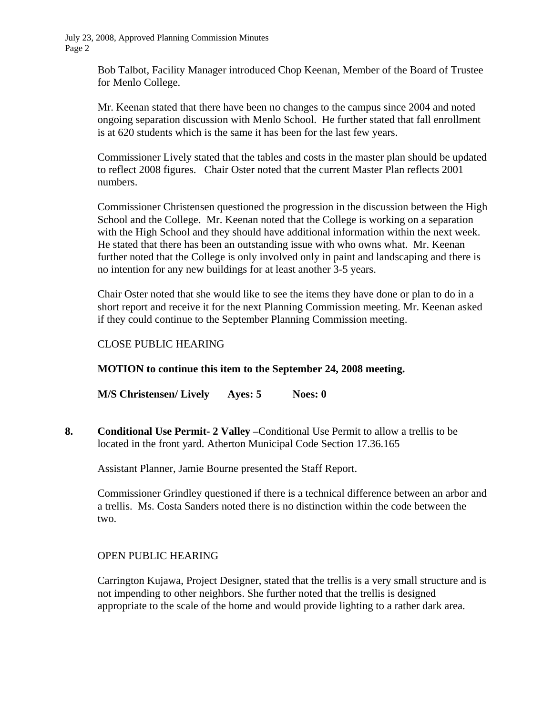> Bob Talbot, Facility Manager introduced Chop Keenan, Member of the Board of Trustee for Menlo College.

> Mr. Keenan stated that there have been no changes to the campus since 2004 and noted ongoing separation discussion with Menlo School. He further stated that fall enrollment is at 620 students which is the same it has been for the last few years.

Commissioner Lively stated that the tables and costs in the master plan should be updated to reflect 2008 figures. Chair Oster noted that the current Master Plan reflects 2001 numbers.

Commissioner Christensen questioned the progression in the discussion between the High School and the College. Mr. Keenan noted that the College is working on a separation with the High School and they should have additional information within the next week. He stated that there has been an outstanding issue with who owns what. Mr. Keenan further noted that the College is only involved only in paint and landscaping and there is no intention for any new buildings for at least another 3-5 years.

Chair Oster noted that she would like to see the items they have done or plan to do in a short report and receive it for the next Planning Commission meeting. Mr. Keenan asked if they could continue to the September Planning Commission meeting.

## CLOSE PUBLIC HEARING

#### **MOTION to continue this item to the September 24, 2008 meeting.**

**M/S Christensen/ Lively Ayes: 5 Noes: 0**

**8. Conditional Use Permit- 2 Valley –**Conditional Use Permit to allow a trellis to be located in the front yard. Atherton Municipal Code Section 17.36.165

Assistant Planner, Jamie Bourne presented the Staff Report.

Commissioner Grindley questioned if there is a technical difference between an arbor and a trellis. Ms. Costa Sanders noted there is no distinction within the code between the two.

#### OPEN PUBLIC HEARING

Carrington Kujawa, Project Designer, stated that the trellis is a very small structure and is not impending to other neighbors. She further noted that the trellis is designed appropriate to the scale of the home and would provide lighting to a rather dark area.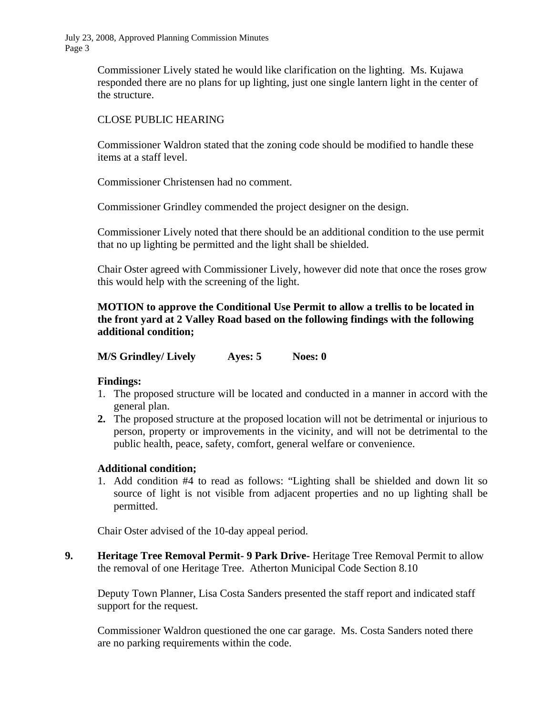> Commissioner Lively stated he would like clarification on the lighting. Ms. Kujawa responded there are no plans for up lighting, just one single lantern light in the center of the structure.

### CLOSE PUBLIC HEARING

Commissioner Waldron stated that the zoning code should be modified to handle these items at a staff level.

Commissioner Christensen had no comment.

Commissioner Grindley commended the project designer on the design.

Commissioner Lively noted that there should be an additional condition to the use permit that no up lighting be permitted and the light shall be shielded.

Chair Oster agreed with Commissioner Lively, however did note that once the roses grow this would help with the screening of the light.

## **MOTION to approve the Conditional Use Permit to allow a trellis to be located in the front yard at 2 Valley Road based on the following findings with the following additional condition;**

**M/S Grindley/ Lively Ayes: 5 Noes: 0** 

## **Findings:**

- 1. The proposed structure will be located and conducted in a manner in accord with the general plan.
- **2.** The proposed structure at the proposed location will not be detrimental or injurious to person, property or improvements in the vicinity, and will not be detrimental to the public health, peace, safety, comfort, general welfare or convenience.

## **Additional condition;**

1. Add condition #4 to read as follows: "Lighting shall be shielded and down lit so source of light is not visible from adjacent properties and no up lighting shall be permitted.

Chair Oster advised of the 10-day appeal period.

**9.** Heritage Tree Removal Permit- 9 Park Drive-Heritage Tree Removal Permit to allow the removal of one Heritage Tree. Atherton Municipal Code Section 8.10

 Deputy Town Planner, Lisa Costa Sanders presented the staff report and indicated staff support for the request.

 Commissioner Waldron questioned the one car garage. Ms. Costa Sanders noted there are no parking requirements within the code.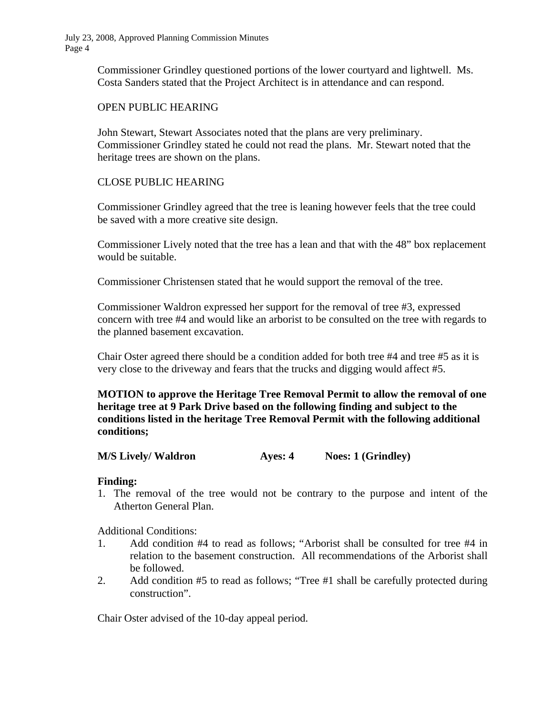> Commissioner Grindley questioned portions of the lower courtyard and lightwell. Ms. Costa Sanders stated that the Project Architect is in attendance and can respond.

### OPEN PUBLIC HEARING

 John Stewart, Stewart Associates noted that the plans are very preliminary. Commissioner Grindley stated he could not read the plans. Mr. Stewart noted that the heritage trees are shown on the plans.

## CLOSE PUBLIC HEARING

 Commissioner Grindley agreed that the tree is leaning however feels that the tree could be saved with a more creative site design.

 Commissioner Lively noted that the tree has a lean and that with the 48" box replacement would be suitable.

Commissioner Christensen stated that he would support the removal of the tree.

 Commissioner Waldron expressed her support for the removal of tree #3, expressed concern with tree #4 and would like an arborist to be consulted on the tree with regards to the planned basement excavation.

 Chair Oster agreed there should be a condition added for both tree #4 and tree #5 as it is very close to the driveway and fears that the trucks and digging would affect #5.

**MOTION to approve the Heritage Tree Removal Permit to allow the removal of one heritage tree at 9 Park Drive based on the following finding and subject to the conditions listed in the heritage Tree Removal Permit with the following additional conditions;** 

**M/S Lively/ Waldron Ayes: 4 Noes: 1 (Grindley)** 

#### **Finding:**

1. The removal of the tree would not be contrary to the purpose and intent of the Atherton General Plan.

Additional Conditions:

- 1. Add condition #4 to read as follows; "Arborist shall be consulted for tree #4 in relation to the basement construction. All recommendations of the Arborist shall be followed.
- 2. Add condition #5 to read as follows; "Tree #1 shall be carefully protected during construction".

Chair Oster advised of the 10-day appeal period.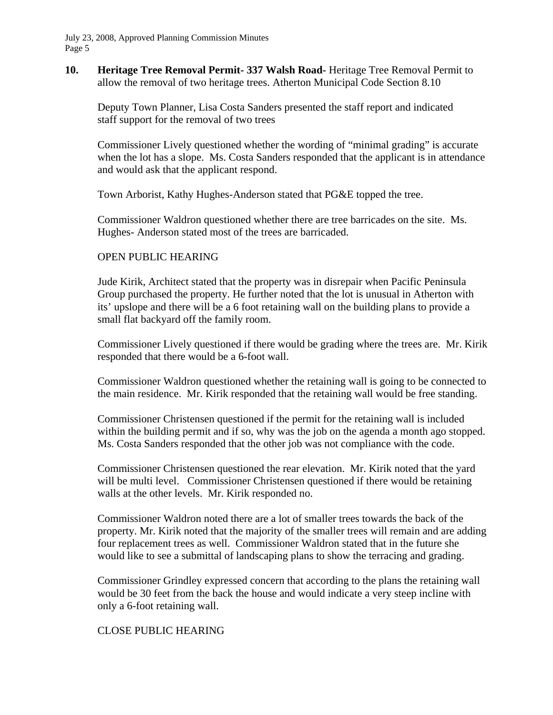**10. Heritage Tree Removal Permit- 337 Walsh Road-** Heritage Tree Removal Permit to allow the removal of two heritage trees. Atherton Municipal Code Section 8.10

Deputy Town Planner, Lisa Costa Sanders presented the staff report and indicated staff support for the removal of two trees

Commissioner Lively questioned whether the wording of "minimal grading" is accurate when the lot has a slope. Ms. Costa Sanders responded that the applicant is in attendance and would ask that the applicant respond.

Town Arborist, Kathy Hughes-Anderson stated that PG&E topped the tree.

Commissioner Waldron questioned whether there are tree barricades on the site. Ms. Hughes- Anderson stated most of the trees are barricaded.

#### OPEN PUBLIC HEARING

Jude Kirik, Architect stated that the property was in disrepair when Pacific Peninsula Group purchased the property. He further noted that the lot is unusual in Atherton with its' upslope and there will be a 6 foot retaining wall on the building plans to provide a small flat backyard off the family room.

Commissioner Lively questioned if there would be grading where the trees are. Mr. Kirik responded that there would be a 6-foot wall.

Commissioner Waldron questioned whether the retaining wall is going to be connected to the main residence. Mr. Kirik responded that the retaining wall would be free standing.

Commissioner Christensen questioned if the permit for the retaining wall is included within the building permit and if so, why was the job on the agenda a month ago stopped. Ms. Costa Sanders responded that the other job was not compliance with the code.

Commissioner Christensen questioned the rear elevation. Mr. Kirik noted that the yard will be multi level. Commissioner Christensen questioned if there would be retaining walls at the other levels. Mr. Kirik responded no.

Commissioner Waldron noted there are a lot of smaller trees towards the back of the property. Mr. Kirik noted that the majority of the smaller trees will remain and are adding four replacement trees as well. Commissioner Waldron stated that in the future she would like to see a submittal of landscaping plans to show the terracing and grading.

Commissioner Grindley expressed concern that according to the plans the retaining wall would be 30 feet from the back the house and would indicate a very steep incline with only a 6-foot retaining wall.

#### CLOSE PUBLIC HEARING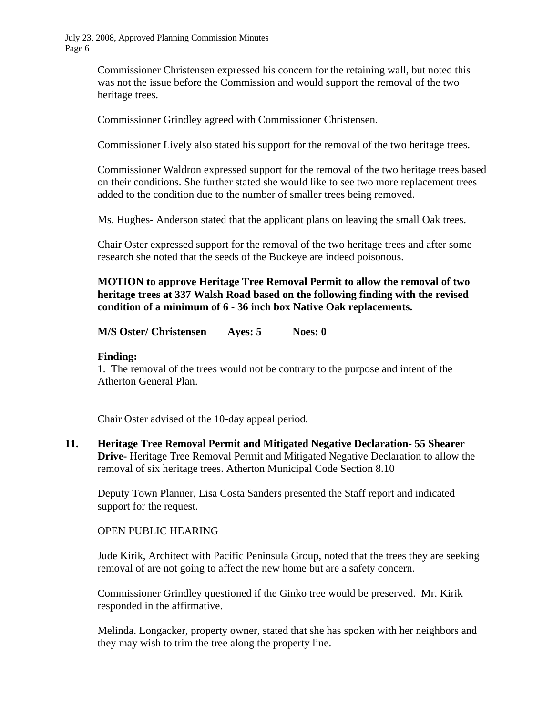> Commissioner Christensen expressed his concern for the retaining wall, but noted this was not the issue before the Commission and would support the removal of the two heritage trees.

Commissioner Grindley agreed with Commissioner Christensen.

Commissioner Lively also stated his support for the removal of the two heritage trees.

Commissioner Waldron expressed support for the removal of the two heritage trees based on their conditions. She further stated she would like to see two more replacement trees added to the condition due to the number of smaller trees being removed.

Ms. Hughes- Anderson stated that the applicant plans on leaving the small Oak trees.

Chair Oster expressed support for the removal of the two heritage trees and after some research she noted that the seeds of the Buckeye are indeed poisonous.

**MOTION to approve Heritage Tree Removal Permit to allow the removal of two heritage trees at 337 Walsh Road based on the following finding with the revised condition of a minimum of 6 - 36 inch box Native Oak replacements.** 

**M/S Oster/ Christensen Ayes: 5 Noes: 0** 

#### **Finding:**

1. The removal of the trees would not be contrary to the purpose and intent of the Atherton General Plan.

Chair Oster advised of the 10-day appeal period.

**11. Heritage Tree Removal Permit and Mitigated Negative Declaration- 55 Shearer Drive-** Heritage Tree Removal Permit and Mitigated Negative Declaration to allow the removal of six heritage trees. Atherton Municipal Code Section 8.10

 Deputy Town Planner, Lisa Costa Sanders presented the Staff report and indicated support for the request.

#### OPEN PUBLIC HEARING

Jude Kirik, Architect with Pacific Peninsula Group, noted that the trees they are seeking removal of are not going to affect the new home but are a safety concern.

Commissioner Grindley questioned if the Ginko tree would be preserved. Mr. Kirik responded in the affirmative.

Melinda. Longacker, property owner, stated that she has spoken with her neighbors and they may wish to trim the tree along the property line.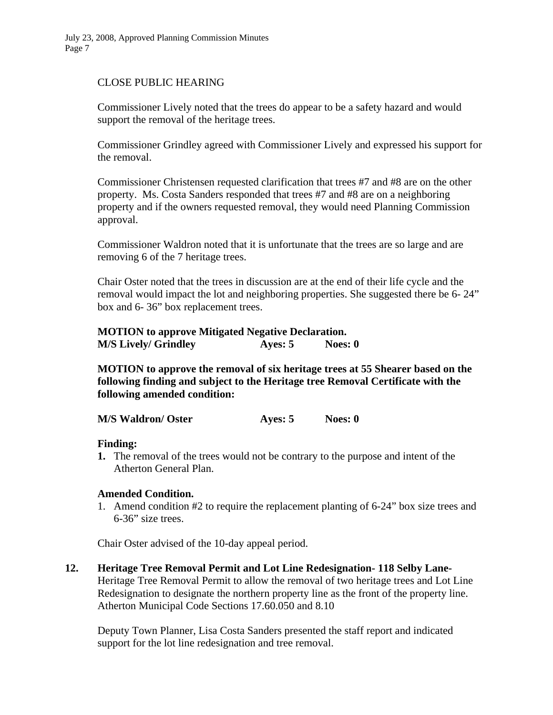### CLOSE PUBLIC HEARING

Commissioner Lively noted that the trees do appear to be a safety hazard and would support the removal of the heritage trees.

Commissioner Grindley agreed with Commissioner Lively and expressed his support for the removal.

Commissioner Christensen requested clarification that trees #7 and #8 are on the other property. Ms. Costa Sanders responded that trees #7 and #8 are on a neighboring property and if the owners requested removal, they would need Planning Commission approval.

Commissioner Waldron noted that it is unfortunate that the trees are so large and are removing 6 of the 7 heritage trees.

Chair Oster noted that the trees in discussion are at the end of their life cycle and the removal would impact the lot and neighboring properties. She suggested there be 6- 24" box and 6- 36" box replacement trees.

| <b>MOTION</b> to approve Mitigated Negative Declaration. |           |         |
|----------------------------------------------------------|-----------|---------|
| <b>M/S Lively/ Grindley</b>                              | Ayes: $5$ | Noes: 0 |

**MOTION to approve the removal of six heritage trees at 55 Shearer based on the following finding and subject to the Heritage tree Removal Certificate with the following amended condition:** 

**M/S Waldron/ Oster Ayes: 5 Noes: 0** 

**Finding:** 

**1.** The removal of the trees would not be contrary to the purpose and intent of the Atherton General Plan.

#### **Amended Condition.**

1. Amend condition #2 to require the replacement planting of 6-24" box size trees and 6-36" size trees.

Chair Oster advised of the 10-day appeal period.

**12. Heritage Tree Removal Permit and Lot Line Redesignation- 118 Selby Lane-**Heritage Tree Removal Permit to allow the removal of two heritage trees and Lot Line Redesignation to designate the northern property line as the front of the property line. Atherton Municipal Code Sections 17.60.050 and 8.10

 Deputy Town Planner, Lisa Costa Sanders presented the staff report and indicated support for the lot line redesignation and tree removal.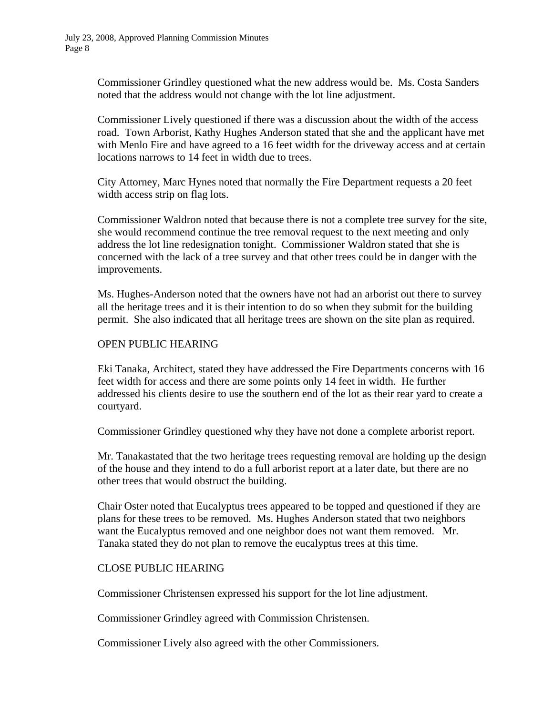Commissioner Grindley questioned what the new address would be. Ms. Costa Sanders noted that the address would not change with the lot line adjustment.

 Commissioner Lively questioned if there was a discussion about the width of the access road. Town Arborist, Kathy Hughes Anderson stated that she and the applicant have met with Menlo Fire and have agreed to a 16 feet width for the driveway access and at certain locations narrows to 14 feet in width due to trees.

 City Attorney, Marc Hynes noted that normally the Fire Department requests a 20 feet width access strip on flag lots.

 Commissioner Waldron noted that because there is not a complete tree survey for the site, she would recommend continue the tree removal request to the next meeting and only address the lot line redesignation tonight. Commissioner Waldron stated that she is concerned with the lack of a tree survey and that other trees could be in danger with the improvements.

 Ms. Hughes-Anderson noted that the owners have not had an arborist out there to survey all the heritage trees and it is their intention to do so when they submit for the building permit. She also indicated that all heritage trees are shown on the site plan as required.

#### OPEN PUBLIC HEARING

 Eki Tanaka, Architect, stated they have addressed the Fire Departments concerns with 16 feet width for access and there are some points only 14 feet in width. He further addressed his clients desire to use the southern end of the lot as their rear yard to create a courtyard.

Commissioner Grindley questioned why they have not done a complete arborist report.

 Mr. Tanakastated that the two heritage trees requesting removal are holding up the design of the house and they intend to do a full arborist report at a later date, but there are no other trees that would obstruct the building.

 Chair Oster noted that Eucalyptus trees appeared to be topped and questioned if they are plans for these trees to be removed. Ms. Hughes Anderson stated that two neighbors want the Eucalyptus removed and one neighbor does not want them removed. Mr. Tanaka stated they do not plan to remove the eucalyptus trees at this time.

#### CLOSE PUBLIC HEARING

Commissioner Christensen expressed his support for the lot line adjustment.

Commissioner Grindley agreed with Commission Christensen.

Commissioner Lively also agreed with the other Commissioners.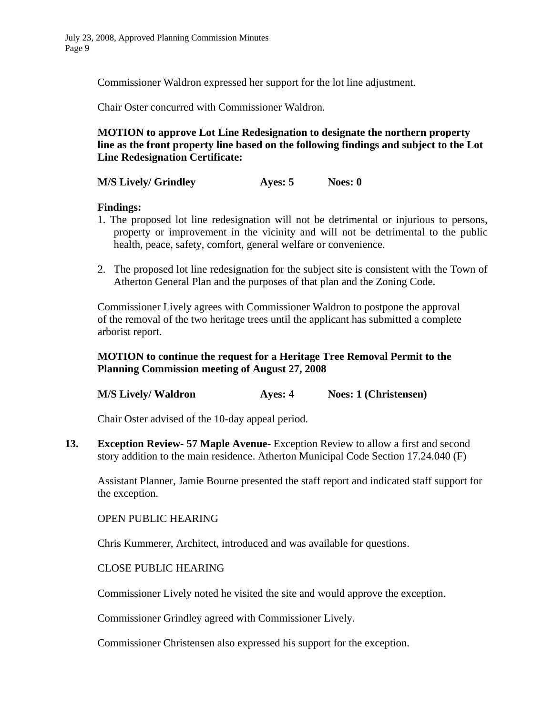Commissioner Waldron expressed her support for the lot line adjustment.

Chair Oster concurred with Commissioner Waldron.

## **MOTION to approve Lot Line Redesignation to designate the northern property line as the front property line based on the following findings and subject to the Lot Line Redesignation Certificate:**

**M/S Lively/ Grindley 49 Ayes: 5 Noes: 0** 

**Findings:** 

- 1. The proposed lot line redesignation will not be detrimental or injurious to persons, property or improvement in the vicinity and will not be detrimental to the public health, peace, safety, comfort, general welfare or convenience.
- 2. The proposed lot line redesignation for the subject site is consistent with the Town of Atherton General Plan and the purposes of that plan and the Zoning Code.

 Commissioner Lively agrees with Commissioner Waldron to postpone the approval of the removal of the two heritage trees until the applicant has submitted a complete arborist report.

## **MOTION to continue the request for a Heritage Tree Removal Permit to the Planning Commission meeting of August 27, 2008**

**M/S Lively/ Waldron Ayes: 4 Noes: 1 (Christensen)** 

Chair Oster advised of the 10-day appeal period.

**13. Exception Review- 57 Maple Avenue-** Exception Review to allow a first and second story addition to the main residence. Atherton Municipal Code Section 17.24.040 (F)

Assistant Planner, Jamie Bourne presented the staff report and indicated staff support for the exception.

OPEN PUBLIC HEARING

Chris Kummerer, Architect, introduced and was available for questions.

CLOSE PUBLIC HEARING

Commissioner Lively noted he visited the site and would approve the exception.

Commissioner Grindley agreed with Commissioner Lively.

Commissioner Christensen also expressed his support for the exception.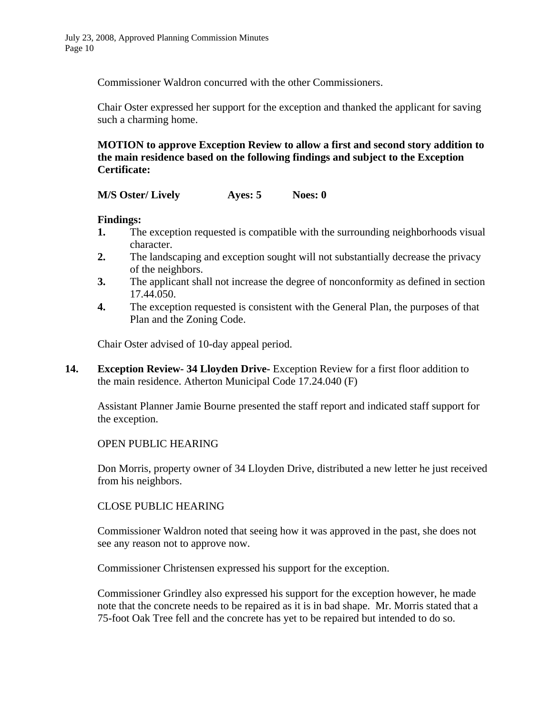Commissioner Waldron concurred with the other Commissioners.

Chair Oster expressed her support for the exception and thanked the applicant for saving such a charming home.

**MOTION to approve Exception Review to allow a first and second story addition to the main residence based on the following findings and subject to the Exception Certificate:** 

**M/S Oster/ Lively Ayes: 5 Noes: 0** 

## **Findings:**

- **1.** The exception requested is compatible with the surrounding neighborhoods visual character.
- **2.** The landscaping and exception sought will not substantially decrease the privacy of the neighbors.
- **3.** The applicant shall not increase the degree of nonconformity as defined in section 17.44.050.
- **4.** The exception requested is consistent with the General Plan, the purposes of that Plan and the Zoning Code.

Chair Oster advised of 10-day appeal period.

**14. Exception Review- 34 Lloyden Drive-** Exception Review for a first floor addition to the main residence. Atherton Municipal Code 17.24.040 (F)

Assistant Planner Jamie Bourne presented the staff report and indicated staff support for the exception.

#### OPEN PUBLIC HEARING

Don Morris, property owner of 34 Lloyden Drive, distributed a new letter he just received from his neighbors.

#### CLOSE PUBLIC HEARING

Commissioner Waldron noted that seeing how it was approved in the past, she does not see any reason not to approve now.

Commissioner Christensen expressed his support for the exception.

Commissioner Grindley also expressed his support for the exception however, he made note that the concrete needs to be repaired as it is in bad shape. Mr. Morris stated that a 75-foot Oak Tree fell and the concrete has yet to be repaired but intended to do so.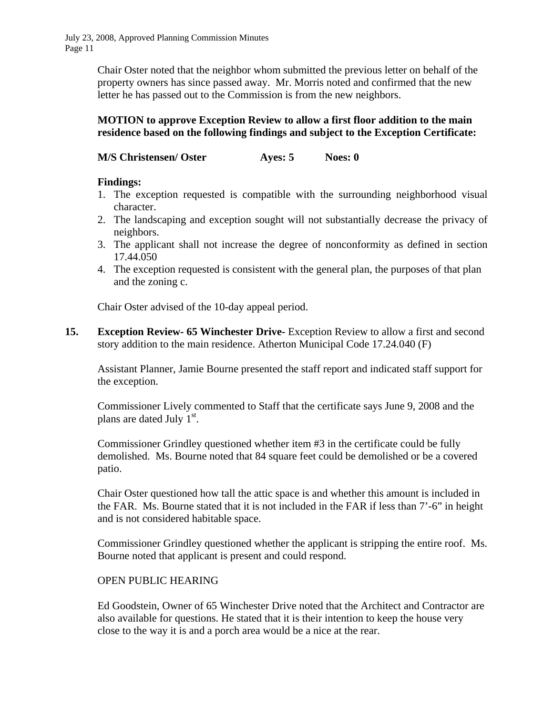> Chair Oster noted that the neighbor whom submitted the previous letter on behalf of the property owners has since passed away. Mr. Morris noted and confirmed that the new letter he has passed out to the Commission is from the new neighbors.

## **MOTION to approve Exception Review to allow a first floor addition to the main residence based on the following findings and subject to the Exception Certificate:**

**M/S Christensen/ Oster Ayes: 5 Noes: 0** 

## **Findings:**

- 1. The exception requested is compatible with the surrounding neighborhood visual character.
- 2. The landscaping and exception sought will not substantially decrease the privacy of neighbors.
- 3. The applicant shall not increase the degree of nonconformity as defined in section 17.44.050
- 4. The exception requested is consistent with the general plan, the purposes of that plan and the zoning c.

Chair Oster advised of the 10-day appeal period.

**15. Exception Review- 65 Winchester Drive-** Exception Review to allow a first and second story addition to the main residence. Atherton Municipal Code 17.24.040 (F)

Assistant Planner, Jamie Bourne presented the staff report and indicated staff support for the exception.

Commissioner Lively commented to Staff that the certificate says June 9, 2008 and the plans are dated July  $1<sup>st</sup>$ .

Commissioner Grindley questioned whether item #3 in the certificate could be fully demolished. Ms. Bourne noted that 84 square feet could be demolished or be a covered patio.

Chair Oster questioned how tall the attic space is and whether this amount is included in the FAR. Ms. Bourne stated that it is not included in the FAR if less than 7'-6" in height and is not considered habitable space.

Commissioner Grindley questioned whether the applicant is stripping the entire roof. Ms. Bourne noted that applicant is present and could respond.

# OPEN PUBLIC HEARING

Ed Goodstein, Owner of 65 Winchester Drive noted that the Architect and Contractor are also available for questions. He stated that it is their intention to keep the house very close to the way it is and a porch area would be a nice at the rear.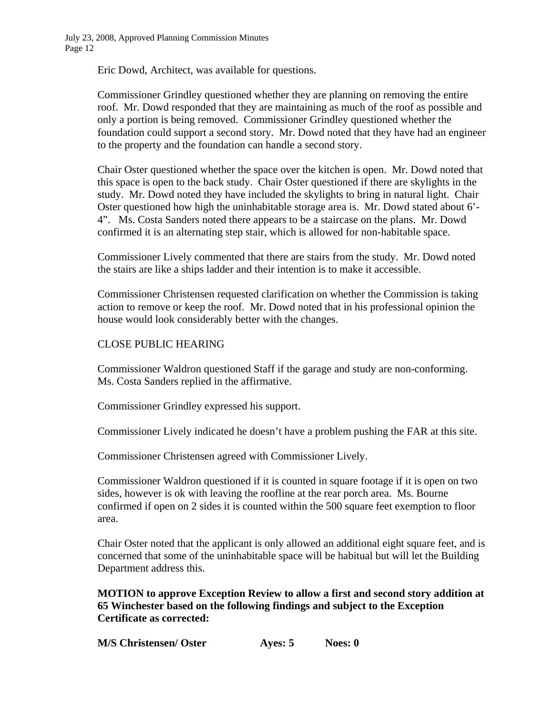Eric Dowd, Architect, was available for questions.

Commissioner Grindley questioned whether they are planning on removing the entire roof. Mr. Dowd responded that they are maintaining as much of the roof as possible and only a portion is being removed. Commissioner Grindley questioned whether the foundation could support a second story. Mr. Dowd noted that they have had an engineer to the property and the foundation can handle a second story.

Chair Oster questioned whether the space over the kitchen is open. Mr. Dowd noted that this space is open to the back study. Chair Oster questioned if there are skylights in the study. Mr. Dowd noted they have included the skylights to bring in natural light. Chair Oster questioned how high the uninhabitable storage area is. Mr. Dowd stated about 6'- 4". Ms. Costa Sanders noted there appears to be a staircase on the plans. Mr. Dowd confirmed it is an alternating step stair, which is allowed for non-habitable space.

Commissioner Lively commented that there are stairs from the study. Mr. Dowd noted the stairs are like a ships ladder and their intention is to make it accessible.

Commissioner Christensen requested clarification on whether the Commission is taking action to remove or keep the roof. Mr. Dowd noted that in his professional opinion the house would look considerably better with the changes.

## CLOSE PUBLIC HEARING

Commissioner Waldron questioned Staff if the garage and study are non-conforming. Ms. Costa Sanders replied in the affirmative.

Commissioner Grindley expressed his support.

Commissioner Lively indicated he doesn't have a problem pushing the FAR at this site.

Commissioner Christensen agreed with Commissioner Lively.

Commissioner Waldron questioned if it is counted in square footage if it is open on two sides, however is ok with leaving the roofline at the rear porch area. Ms. Bourne confirmed if open on 2 sides it is counted within the 500 square feet exemption to floor area.

Chair Oster noted that the applicant is only allowed an additional eight square feet, and is concerned that some of the uninhabitable space will be habitual but will let the Building Department address this.

**MOTION to approve Exception Review to allow a first and second story addition at 65 Winchester based on the following findings and subject to the Exception Certificate as corrected:** 

| <b>M/S Christensen/ Oster</b> | Ayes: 5 | Noes: 0 |
|-------------------------------|---------|---------|
|-------------------------------|---------|---------|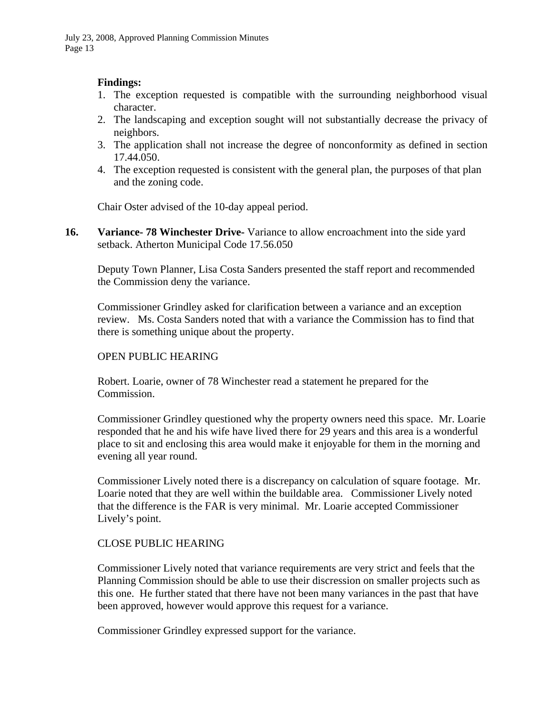## **Findings:**

- 1. The exception requested is compatible with the surrounding neighborhood visual character.
- 2. The landscaping and exception sought will not substantially decrease the privacy of neighbors.
- 3. The application shall not increase the degree of nonconformity as defined in section 17.44.050.
- 4. The exception requested is consistent with the general plan, the purposes of that plan and the zoning code.

Chair Oster advised of the 10-day appeal period.

**16.** Variance- 78 Winchester Drive-Variance to allow encroachment into the side yard setback. Atherton Municipal Code 17.56.050

Deputy Town Planner, Lisa Costa Sanders presented the staff report and recommended the Commission deny the variance.

Commissioner Grindley asked for clarification between a variance and an exception review. Ms. Costa Sanders noted that with a variance the Commission has to find that there is something unique about the property.

#### OPEN PUBLIC HEARING

Robert. Loarie, owner of 78 Winchester read a statement he prepared for the Commission.

Commissioner Grindley questioned why the property owners need this space. Mr. Loarie responded that he and his wife have lived there for 29 years and this area is a wonderful place to sit and enclosing this area would make it enjoyable for them in the morning and evening all year round.

Commissioner Lively noted there is a discrepancy on calculation of square footage. Mr. Loarie noted that they are well within the buildable area. Commissioner Lively noted that the difference is the FAR is very minimal. Mr. Loarie accepted Commissioner Lively's point.

## CLOSE PUBLIC HEARING

Commissioner Lively noted that variance requirements are very strict and feels that the Planning Commission should be able to use their discression on smaller projects such as this one. He further stated that there have not been many variances in the past that have been approved, however would approve this request for a variance.

Commissioner Grindley expressed support for the variance.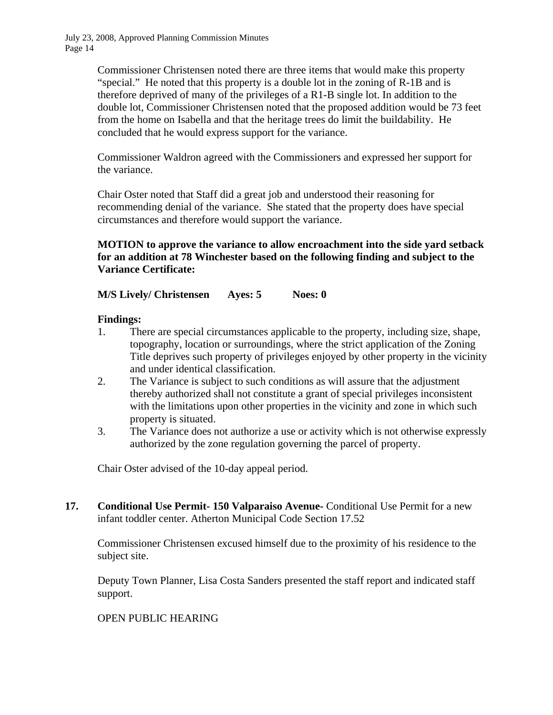> Commissioner Christensen noted there are three items that would make this property "special." He noted that this property is a double lot in the zoning of R-1B and is therefore deprived of many of the privileges of a R1-B single lot. In addition to the double lot, Commissioner Christensen noted that the proposed addition would be 73 feet from the home on Isabella and that the heritage trees do limit the buildability. He concluded that he would express support for the variance.

Commissioner Waldron agreed with the Commissioners and expressed her support for the variance.

Chair Oster noted that Staff did a great job and understood their reasoning for recommending denial of the variance. She stated that the property does have special circumstances and therefore would support the variance.

**MOTION to approve the variance to allow encroachment into the side yard setback for an addition at 78 Winchester based on the following finding and subject to the Variance Certificate:** 

**M/S Lively/ Christensen Ayes: 5 Noes: 0** 

## **Findings:**

- 1. There are special circumstances applicable to the property, including size, shape, topography, location or surroundings, where the strict application of the Zoning Title deprives such property of privileges enjoyed by other property in the vicinity and under identical classification.
- 2. The Variance is subject to such conditions as will assure that the adjustment thereby authorized shall not constitute a grant of special privileges inconsistent with the limitations upon other properties in the vicinity and zone in which such property is situated.
- 3. The Variance does not authorize a use or activity which is not otherwise expressly authorized by the zone regulation governing the parcel of property.

Chair Oster advised of the 10-day appeal period.

**17. Conditional Use Permit- 150 Valparaiso Avenue-** Conditional Use Permit for a new infant toddler center. Atherton Municipal Code Section 17.52

Commissioner Christensen excused himself due to the proximity of his residence to the subject site.

Deputy Town Planner, Lisa Costa Sanders presented the staff report and indicated staff support.

## OPEN PUBLIC HEARING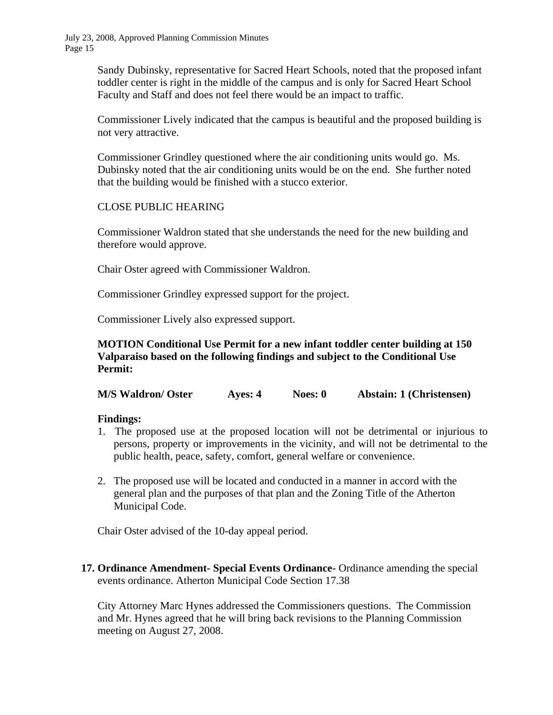Sandy Dubinsky, representative for Sacred Heart Schools, noted that the proposed infant toddler center is right in the middle of the campus and is only for Sacred Heart School Faculty and Staff and does not feel there would be an impact to traffic.

Commissioner Lively indicated that the campus is beautiful and the proposed building is not very attractive.

Commissioner Grindley questioned where the air conditioning units would go. Ms. Dubinsky noted that the air conditioning units would be on the end. She further noted that the building would be finished with a stucco exterior.

## CLOSE PUBLIC HEARING

Commissioner Waldron stated that she understands the need for the new building and therefore would approve.

Chair Oster agreed with Commissioner Waldron.

Commissioner Grindley expressed support for the project.

Commissioner Lively also expressed support.

**MOTION Conditional Use Permit for a new infant toddler center building at 150 Valparaiso based on the following findings and subject to the Conditional Use Permit:** 

**M/S Waldron/ Oster Ayes: 4 Noes: 0 Abstain: 1 (Christensen)** 

#### **Findings:**

- 1. The proposed use at the proposed location will not be detrimental or injurious to persons, property or improvements in the vicinity, and will not be detrimental to the public health, peace, safety, comfort, general welfare or convenience.
- 2. The proposed use will be located and conducted in a manner in accord with the general plan and the purposes of that plan and the Zoning Title of the Atherton Municipal Code.

Chair Oster advised of the 10-day appeal period.

**17. Ordinance Amendment- Special Events Ordinance-** Ordinance amending the special events ordinance. Atherton Municipal Code Section 17.38

City Attorney Marc Hynes addressed the Commissioners questions. The Commission and Mr. Hynes agreed that he will bring back revisions to the Planning Commission meeting on August 27, 2008.